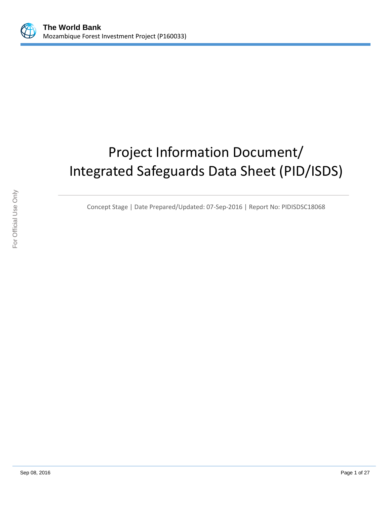

# Project Information Document/ Integrated Safeguards Data Sheet (PID/ISDS)

Concept Stage | Date Prepared/Updated: 07-Sep-2016 | Report No: PIDISDSC18068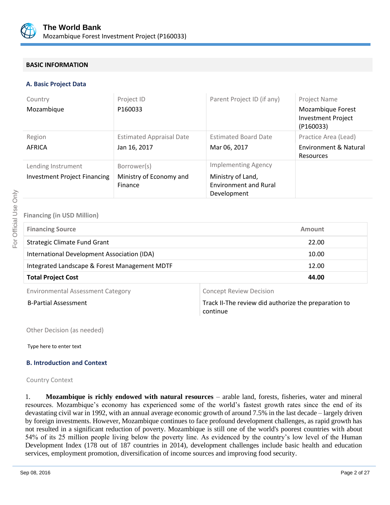

# **BASIC INFORMATION**

### **A. Basic Project Data**

| Country<br>Mozambique                                     | Project ID<br>P160033                             | Parent Project ID (if any)                                                                     | Project Name<br>Mozambique Forest<br><b>Investment Project</b><br>(P160033) |
|-----------------------------------------------------------|---------------------------------------------------|------------------------------------------------------------------------------------------------|-----------------------------------------------------------------------------|
| Region<br>AFRICA                                          | <b>Estimated Appraisal Date</b><br>Jan 16, 2017   | <b>Estimated Board Date</b><br>Mar 06, 2017                                                    | Practice Area (Lead)<br><b>Environment &amp; Natural</b><br>Resources       |
| Lending Instrument<br><b>Investment Project Financing</b> | Borrower(s)<br>Ministry of Economy and<br>Finance | <b>Implementing Agency</b><br>Ministry of Land,<br><b>Environment and Rural</b><br>Development |                                                                             |

### **Financing (in USD Million)**

| <b>Financing Source</b>                       | Amount |  |
|-----------------------------------------------|--------|--|
| <b>Strategic Climate Fund Grant</b>           | 22.00  |  |
| International Development Association (IDA)   | 10.00  |  |
| Integrated Landscape & Forest Management MDTF | 12.00  |  |
| <b>Total Project Cost</b>                     | 44.00  |  |
|                                               |        |  |

Environmental Assessment Category **Concept Review Decision** 

B-Partial Assessment Track II-The review did authorize the preparation to continue

Other Decision (as needed)

Type here to enter text

### **B. Introduction and Context**

Country Context

1. **Mozambique is richly endowed with natural resources** – arable land, forests, fisheries, water and mineral resources. Mozambique's economy has experienced some of the world's fastest growth rates since the end of its devastating civil war in 1992, with an annual average economic growth of around 7.5% in the last decade – largely driven by foreign investments. However, Mozambique continues to face profound development challenges, as rapid growth has not resulted in a significant reduction of poverty. Mozambique is still one of the world's poorest countries with about 54% of its 25 million people living below the poverty line. As evidenced by the country's low level of the Human Development Index (178 out of 187 countries in 2014), development challenges include basic health and education services, employment promotion, diversification of income sources and improving food security.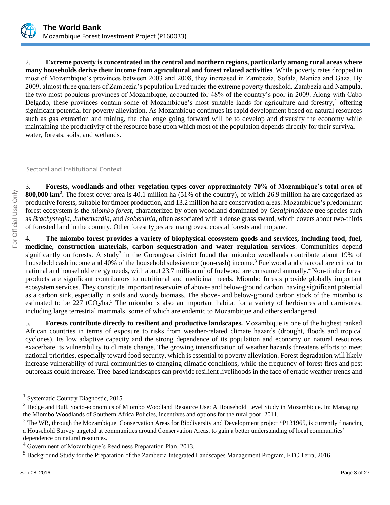

2. **Extreme poverty is concentrated in the central and northern regions, particularly among rural areas where many households derive their income from agricultural and forest related activities**. While poverty rates dropped in most of Mozambique's provinces between 2003 and 2008, they increased in Zambezia, Sofala, Manica and Gaza. By 2009, almost three quarters of Zambezia's population lived under the extreme poverty threshold. Zambezia and Nampula, the two most populous provinces of Mozambique, accounted for 48% of the country's poor in 2009. Along with Cabo Delgado, these provinces contain some of Mozambique's most suitable lands for agriculture and forestry, $\frac{1}{1}$  offering significant potential for poverty alleviation. As Mozambique continues its rapid development based on natural resources such as gas extraction and mining, the challenge going forward will be to develop and diversify the economy while maintaining the productivity of the resource base upon which most of the population depends directly for their survival water, forests, soils, and wetlands.

Sectoral and Institutional Context

3. **Forests, woodlands and other vegetation types cover approximately 70% of Mozambique's total area of 800,000 km<sup>2</sup> .** The forest cover area is 40.1 million ha (51% of the country), of which 26.9 million ha are categorized as productive forests, suitable for timber production, and 13.2 million ha are conservation areas. Mozambique's predominant forest ecosystem is the *miombo forest*, characterized by open woodland dominated by *Cesalpinoideae* tree species such as *Brachystegia*, *Julbernardia*, and *Isoberlinia*, often associated with a dense grass sward, which covers about two-thirds of forested land in the country. Other forest types are mangroves, coastal forests and mopane.

4. **The miombo forest provides a variety of biophysical ecosystem goods and services, including food, fuel, medicine, construction materials, carbon sequestration and water regulation services**. Communities depend significantly on forests. A study<sup>2</sup> in the Gorongosa district found that miombo woodlands contribute about 19% of household cash income and 40% of the household subsistence (non-cash) income.<sup>3</sup> Fuelwood and charcoal are critical to national and household energy needs, with about 23.7 million m<sup>3</sup> of fuelwood are consumed annually.<sup>4</sup> Non-timber forest products are significant contributors to nutritional and medicinal needs. Miombo forests provide globally important ecosystem services. They constitute important reservoirs of above- and below-ground carbon, having significant potential as a carbon sink, especially in soils and woody biomass. The above- and below-ground carbon stock of the miombo is estimated to be 227 tCO<sub>2</sub>/ha.<sup>5</sup> The miombo is also an important habitat for a variety of herbivores and carnivores, including large terrestrial mammals, some of which are endemic to Mozambique and others endangered.

5. **Forests contribute directly to resilient and productive landscapes.** Mozambique is one of the highest ranked African countries in terms of exposure to risks from weather-related climate hazards (drought, floods and tropical cyclones). Its low adaptive capacity and the strong dependence of its population and economy on natural resources exacerbate its vulnerability to climate change. The growing intensification of weather hazards threatens efforts to meet national priorities, especially toward food security, which is essential to poverty alleviation. Forest degradation will likely increase vulnerability of rural communities to changing climatic conditions, while the frequency of forest fires and pest outbreaks could increase. Tree-based landscapes can provide resilient livelihoods in the face of erratic weather trends and

<sup>&</sup>lt;sup>1</sup> Systematic Country Diagnostic, 2015

 $2$  Hedge and Bull. Socio-economics of Miombo Woodland Resource Use: A Household Level Study in Mozambique. In: Managing the Miombo Woodlands of Southern Africa Policies, incentives and options for the rural poor. 2011.

<sup>&</sup>lt;sup>3</sup> The WB, through the Mozambique Conservation Areas for Biodiversity and Development project \*P131965, is currently financing a Household Survey targeted at communities around Conservation Areas, to gain a better understanding of local communities' dependence on natural resources.

<sup>&</sup>lt;sup>4</sup> Government of Mozambique's Readiness Preparation Plan, 2013.

<sup>5</sup> Background Study for the Preparation of the Zambezia Integrated Landscapes Management Program, ETC Terra, 2016.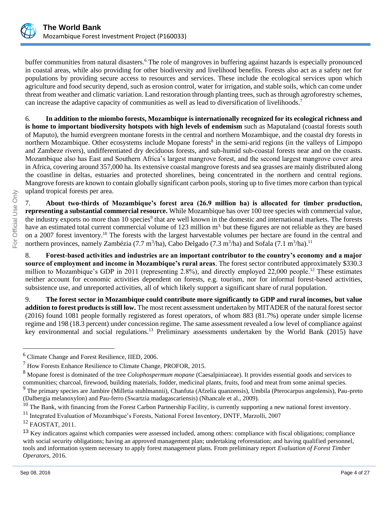

buffer communities from natural disasters.<sup>6</sup> The role of mangroves in buffering against hazards is especially pronounced in coastal areas, while also providing for other biodiversity and livelihood benefits. Forests also act as a safety net for populations by providing secure access to resources and services. These include the ecological services upon which agriculture and food security depend, such as erosion control, water for irrigation, and stable soils, which can come under threat from weather and climatic variation. Land restoration through planting trees, such as through agroforestry schemes, can increase the adaptive capacity of communities as well as lead to diversification of livelihoods.<sup>7</sup>

6. **In addition to the miombo forests, Mozambique is internationally recognized for its ecological richness and is home to important biodiversity hotspots with high levels of endemism** such as Maputaland (coastal forests south of Maputo), the humid evergreen montane forests in the central and northern Mozambique, and the coastal dry forests in northern Mozambique. Other ecosystems include Mopane forests<sup>8</sup> in the semi-arid regions (in the valleys of Limpopo and Zambeze rivers), undifferentiated dry deciduous forests, and sub-humid sub-coastal forests near and on the coasts. Mozambique also has East and Southern Africa's largest mangrove forest, and the second largest mangrove cover area in Africa, covering around 357,000 ha. Its extensive coastal mangrove forests and sea grasses are mainly distributed along the coastline in deltas, estuaries and protected shorelines, being concentrated in the northern and central regions. Mangrove forests are known to contain globally significant carbon pools, storing up to five times more carbon than typical upland tropical forests per area.

7. **About two-thirds of Mozambique's forest area (26.9 million ha) is allocated for timber production, representing a substantial commercial resource.** While Mozambique has over 100 tree species with commercial value, the industry exports no more than 10 species<sup>9</sup> that are well known in the domestic and international markets. The forests have an estimated total current commercial volume of 123 million m<sup>3,</sup> but these figures are not reliable as they are based on a 2007 forest inventory.<sup>10</sup> The forests with the largest harvestable volumes per hectare are found in the central and northern provinces, namely Zambézia (7.7 m<sup>3</sup>/ha), Cabo Delgado (7.3 m<sup>3</sup>/ha) and Sofala (7.1 m<sup>3</sup>/ha).<sup>11</sup>

8. **Forest-based activities and industries are an important contributor to the country's economy and a major source of employment and income in Mozambique's rural areas**. The forest sector contributed approximately \$330.3 million to Mozambique's GDP in 2011 (representing 2.8%), and directly employed 22,000 people.<sup>12</sup> These estimates neither account for economic activities dependent on forests, e.g. tourism, nor for informal forest-based activities, subsistence use, and unreported activities, all of which likely support a significant share of rural population.

9. **The forest sector in Mozambique could contribute more significantly to GDP and rural incomes, but value addition to forest products is still low.** The most recent assessment undertaken by MITADER of the natural forest sector (2016) found 1081 people formally registered as forest operators, of whom 883 (81.7%) operate under simple license regime and 198 (18.3 percent) under concession regime. The same assessment revealed a low level of compliance against key environmental and social regulations.<sup>13</sup> Preliminary assessments undertaken by the World Bank (2015) have

<sup>6</sup> Climate Change and Forest Resilience, IIED, 2006.

<sup>7</sup> How Forests Enhance Resilience to Climate Change, PROFOR, 2015.

<sup>8</sup> Mopane forest is dominated of the tree *Colophospermum mopane* (Caesalpiniaceae). It provides essential goods and services to communities; charcoal, firewood, building materials, fodder, medicinal plants, fruits, food and meat from some animal species.

<sup>&</sup>lt;sup>9</sup> The primary species are Jambire (Milletia stuhlmannii), Chanfuta (Afzelia quanzensis), Umbila (Pterocarpus angolensis), Pau-preto (Dalbergia melanoxylon) and Pau-ferro (Swartzia madagascariensis) (Nhancale et al., 2009).

 $^{10}$  The Bank, with financing from the Forest Carbon Partnership Facility, is currently supporting a new national forest inventory.

<sup>&</sup>lt;sup>11</sup> Integrated Evaluation of Mozambique's Forests, National Forest Inventory, DNTF, Marzolli, 2007

<sup>12</sup> FAOSTAT, 2011.

<sup>&</sup>lt;sup>13</sup> Key indicators against which companies were assessed included, among others: compliance with fiscal obligations; compliance with social security obligations; having an approved management plan; undertaking reforestation; and having qualified personnel, tools and information system necessary to apply forest management plans. From preliminary report *Evaluation of Forest Timber Operators*, 2016.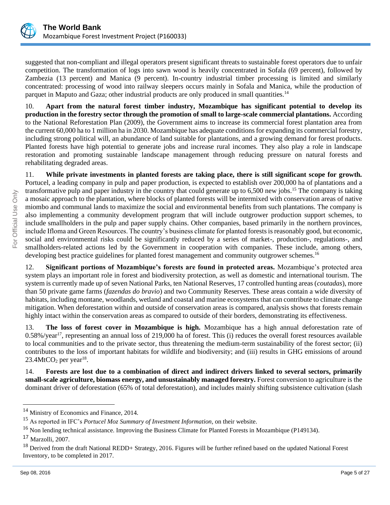

suggested that non-compliant and illegal operators present significant threats to sustainable forest operators due to unfair competition. The transformation of logs into sawn wood is heavily concentrated in Sofala (69 percent), followed by Zambezia (13 percent) and Manica (9 percent). In-country industrial timber processing is limited and similarly concentrated: processing of wood into railway sleepers occurs mainly in Sofala and Manica, while the production of parquet in Maputo and Gaza; other industrial products are only produced in small quantities.<sup>14</sup>

10. **Apart from the natural forest timber industry, Mozambique has significant potential to develop its production in the forestry sector through the promotion of small to large-scale commercial plantations.** According to the National Reforestation Plan (2009), the Government aims to increase its commercial forest plantation area from the current 60,000 ha to 1 million ha in 2030. Mozambique has adequate conditions for expanding its commercial forestry, including strong political will, an abundance of land suitable for plantations, and a growing demand for forest products. Planted forests have high potential to generate jobs and increase rural incomes. They also play a role in landscape restoration and promoting sustainable landscape management through reducing pressure on natural forests and rehabilitating degraded areas.

11. **While private investments in planted forests are taking place, there is still significant scope for growth.**  Portucel, a leading company in pulp and paper production, is expected to establish over 200,000 ha of plantations and a transformative pulp and paper industry in the country that could generate up to 6,500 new jobs.<sup>15</sup> The company is taking a mosaic approach to the plantation, where blocks of planted forests will be intermixed with conservation areas of native miombo and communal lands to maximize the social and environmental benefits from such plantations. The company is also implementing a community development program that will include outgrower production support schemes, to include smallholders in the pulp and paper supply chains. Other companies, based primarily in the northern provinces, include Ifloma and Green Resources. The country's business climate for planted forests is reasonably good, but economic, social and environmental risks could be significantly reduced by a series of market-, production-, regulations-, and smallholders-related actions led by the Government in cooperation with companies. These include, among others, developing best practice guidelines for planted forest management and community outgrower schemes.<sup>16</sup>

12. **Significant portions of Mozambique's forests are found in protected areas.** Mozambique's protected area system plays an important role in forest and biodiversity protection, as well as domestic and international tourism. The system is currently made up of seven National Parks, ten National Reserves, 17 controlled hunting areas (*coutadas*), more than 50 private game farms (*fazendas do bravio*) and two Community Reserves. These areas contain a wide diversity of habitats, including montane, woodlands, wetland and coastal and marine ecosystems that can contribute to climate change mitigation. When deforestation within and outside of conservation areas is compared, analysis shows that forests remain highly intact within the conservation areas as compared to outside of their borders, demonstrating its effectiveness.

13. **The loss of forest cover in Mozambique is high.** Mozambique has a high annual deforestation rate of  $0.58\%$ /year<sup>17</sup>, representing an annual loss of 219,000 ha of forest. This (i) reduces the overall forest resources available to local communities and to the private sector, thus threatening the medium-term sustainability of the forest sector; (ii) contributes to the loss of important habitats for wildlife and biodiversity; and (iii) results in GHG emissions of around  $23.4$ MtCO<sub>2</sub> per year<sup>18</sup>.

14. **Forests are lost due to a combination of direct and indirect drivers linked to several sectors, primarily small-scale agriculture, biomass energy, and unsustainably managed forestry.** Forest conversion to agriculture is the dominant driver of deforestation (65% of total deforestation), and includes mainly shifting subsistence cultivation (slash

<sup>&</sup>lt;sup>14</sup> Ministry of Economics and Finance, 2014.

<sup>15</sup> As reported in IFC's *Portucel Moz Summary of Investment Information,* on their website.

 $16$  Non lending technical assistance. Improving the Business Climate for Planted Forests in Mozambique (P149134).

<sup>17</sup> Marzolli, 2007.

<sup>&</sup>lt;sup>18</sup> Derived from the draft National REDD+ Strategy, 2016. Figures will be further refined based on the updated National Forest Inventory, to be completed in 2017.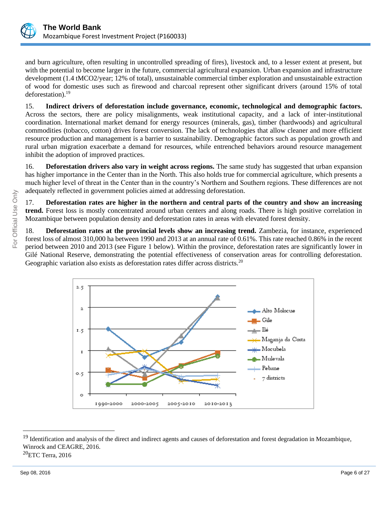

and burn agriculture, often resulting in uncontrolled spreading of fires), livestock and, to a lesser extent at present, but with the potential to become larger in the future, commercial agricultural expansion. Urban expansion and infrastructure development (1.4 tMCO2/year; 12% of total), unsustainable commercial timber exploration and unsustainable extraction of wood for domestic uses such as firewood and charcoal represent other significant drivers (around 15% of total deforestation).<sup>19</sup>

15. **Indirect drivers of deforestation include governance, economic, technological and demographic factors.** Across the sectors, there are policy misalignments, weak institutional capacity, and a lack of inter-institutional coordination. International market demand for energy resources (minerals, gas), timber (hardwoods) and agricultural commodities (tobacco, cotton) drives forest conversion. The lack of technologies that allow cleaner and more efficient resource production and management is a barrier to sustainability. Demographic factors such as population growth and rural urban migration exacerbate a demand for resources, while entrenched behaviors around resource management inhibit the adoption of improved practices.

16. **Deforestation drivers also vary in weight across regions.** The same study has suggested that urban expansion has higher importance in the Center than in the North. This also holds true for commercial agriculture, which presents a much higher level of threat in the Center than in the country's Northern and Southern regions. These differences are not adequately reflected in government policies aimed at addressing deforestation.

17. **Deforestation rates are higher in the northern and central parts of the country and show an increasing trend.** Forest loss is mostly concentrated around urban centers and along roads. There is high positive correlation in Mozambique between population density and deforestation rates in areas with elevated forest density.

18. **Deforestation rates at the provincial levels show an increasing trend.** Zambezia, for instance, experienced forest loss of almost 310,000 ha between 1990 and 2013 at an annual rate of 0.61%. This rate reached 0.86% in the recent period between 2010 and 2013 (see Figure 1 below). Within the province, deforestation rates are significantly lower in Gilé National Reserve, demonstrating the potential effectiveness of conservation areas for controlling deforestation. Geographic variation also exists as deforestation rates differ across districts.<sup>20</sup>



<sup>&</sup>lt;sup>19</sup> Identification and analysis of the direct and indirect agents and causes of deforestation and forest degradation in Mozambique, Winrock and CEAGRE, 2016.

 ${}^{20}$ ETC Terra, 2016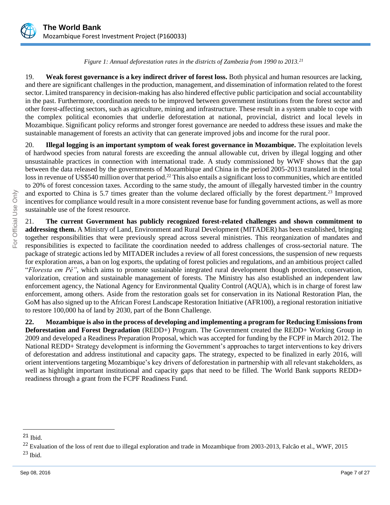

*Figure 1: Annual deforestation rates in the districts of Zambezia from 1990 to 2013.<sup>21</sup>*

19. **Weak forest governance is a key indirect driver of forest loss.** Both physical and human resources are lacking, and there are significant challenges in the production, management, and dissemination of information related to the forest sector. Limited transparency in decision-making has also hindered effective public participation and social accountability in the past. Furthermore, coordination needs to be improved between government institutions from the forest sector and other forest-affecting sectors, such as agriculture, mining and infrastructure. These result in a system unable to cope with the complex political economies that underlie deforestation at national, provincial, district and local levels in Mozambique. Significant policy reforms and stronger forest governance are needed to address these issues and make the sustainable management of forests an activity that can generate improved jobs and income for the rural poor.

20. **Illegal logging is an important symptom of weak forest governance in Mozambique.** The exploitation levels of hardwood species from natural forests are exceeding the annual allowable cut, driven by illegal logging and other unsustainable practices in connection with international trade. A study commissioned by WWF shows that the gap between the data released by the governments of Mozambique and China in the period 2005-2013 translated in the total loss in revenue of US\$540 million over that period.<sup>22</sup> This also entails a significant loss to communities, which are entitled to 20% of forest concession taxes. According to the same study, the amount of illegally harvested timber in the country and exported to China is 5.7 times greater than the volume declared officially by the forest department.<sup>23</sup> Improved incentives for compliance would result in a more consistent revenue base for funding government actions, as well as more sustainable use of the forest resource.

21. **The current Government has publicly recognized forest-related challenges and shown commitment to addressing them.** A Ministry of Land, Environment and Rural Development (MITADER) has been established, bringing together responsibilities that were previously spread across several ministries. This reorganization of mandates and responsibilities is expected to facilitate the coordination needed to address challenges of cross-sectorial nature. The package of strategic actions led by MITADER includes a review of all forest concessions, the suspension of new requests for exploration areas, a ban on log exports, the updating of forest policies and regulations, and an ambitious project called "*Floresta em Pé"*, which aims to promote sustainable integrated rural development though protection, conservation, valorization, creation and sustainable management of forests. The Ministry has also established an independent law enforcement agency, the National Agency for Environmental Quality Control (AQUA), which is in charge of forest law enforcement, among others. Aside from the restoration goals set for conservation in its National Restoration Plan, the GoM has also signed up to the African Forest Landscape Restoration Initiative (AFR100), a regional restoration initiative to restore 100,000 ha of land by 2030, part of the Bonn Challenge.

**22. Mozambique is also in the process of developing and implementing a program for Reducing Emissions from Deforestation and Forest Degradation** (REDD+) Program. The Government created the REDD+ Working Group in 2009 and developed a Readiness Preparation Proposal, which was accepted for funding by the FCPF in March 2012. The National REDD+ Strategy development is informing the Government's approaches to target interventions to key drivers of deforestation and address institutional and capacity gaps. The strategy, expected to be finalized in early 2016, will orient interventions targeting Mozambique's key drivers of deforestation in partnership with all relevant stakeholders, as well as highlight important institutional and capacity gaps that need to be filled. The World Bank supports REDD+ readiness through a grant from the FCPF Readiness Fund.

<sup>21</sup> Ibid.

 $^{22}$  Evaluation of the loss of rent due to illegal exploration and trade in Mozambique from 2003-2013, Falcão et al., WWF, 2015  $^{23}$  Ibid.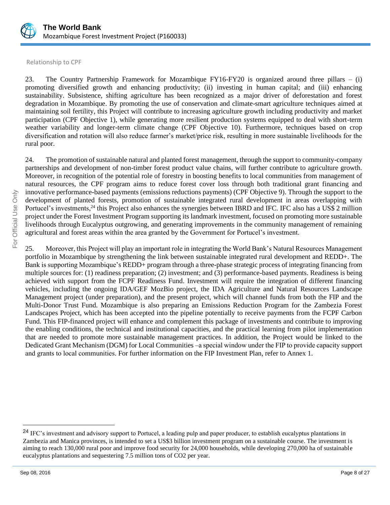

Relationship to CPF

23. The Country Partnership Framework for Mozambique FY16-FY20 is organized around three pillars – (i) promoting diversified growth and enhancing productivity; (ii) investing in human capital; and (iii) enhancing sustainability. Subsistence, shifting agriculture has been recognized as a major driver of deforestation and forest degradation in Mozambique. By promoting the use of conservation and climate-smart agriculture techniques aimed at maintaining soil fertility, this Project will contribute to increasing agriculture growth including productivity and market participation (CPF Objective 1), while generating more resilient production systems equipped to deal with short-term weather variability and longer-term climate change (CPF Objective 10). Furthermore, techniques based on crop diversification and rotation will also reduce farmer's market/price risk, resulting in more sustainable livelihoods for the rural poor.

24. The promotion of sustainable natural and planted forest management, through the support to community-company partnerships and development of non-timber forest product value chains, will further contribute to agriculture growth. Moreover, in recognition of the potential role of forestry in boosting benefits to local communities from management of natural resources, the CPF program aims to reduce forest cover loss through both traditional grant financing and innovative performance-based payments (emissions reductions payments) (CPF Objective 9). Through the support to the development of planted forests, promotion of sustainable integrated rural development in areas overlapping with Portucel's investments, <sup>24</sup> this Project also enhances the synergies between IBRD and IFC. IFC also has a US\$ 2 million project under the Forest Investment Program supporting its landmark investment, focused on promoting more sustainable livelihoods through Eucalyptus outgrowing, and generating improvements in the community management of remaining agricultural and forest areas within the area granted by the Government for Portucel's investment.

25. Moreover, this Project will play an important role in integrating the World Bank's Natural Resources Management portfolio in Mozambique by strengthening the link between sustainable integrated rural development and REDD+. The Bank is supporting Mozambique's REDD+ program through a three-phase strategic process of integrating financing from multiple sources for: (1) readiness preparation; (2) investment; and (3) performance-based payments. Readiness is being achieved with support from the FCPF Readiness Fund. Investment will require the integration of different financing vehicles, including the ongoing IDA/GEF MozBio project, the IDA Agriculture and Natural Resources Landscape Management project (under preparation), and the present project, which will channel funds from both the FIP and the Multi-Donor Trust Fund. Mozambique is also preparing an Emissions Reduction Program for the Zambezia Forest Landscapes Project, which has been accepted into the pipeline potentially to receive payments from the FCPF Carbon Fund. This FIP-financed project will enhance and complement this package of investments and contribute to improving the enabling conditions, the technical and institutional capacities, and the practical learning from pilot implementation that are needed to promote more sustainable management practices. In addition, the Project would be linked to the Dedicated Grant Mechanism (DGM) for Local Communities –a special window under the FIP to provide capacity support and grants to local communities. For further information on the FIP Investment Plan, refer to Annex 1.

<sup>&</sup>lt;sup>24</sup> IFC's investment and advisory support to Portucel, a leading pulp and paper producer, to establish eucalyptus plantations in Zambezia and Manica provinces, is intended to set a US\$3 billion investment program on a sustainable course. The investment is aiming to reach 130,000 rural poor and improve food security for 24,000 households, while developing 270,000 ha of sustainable eucalyptus plantations and sequestering 7.5 million tons of CO2 per year.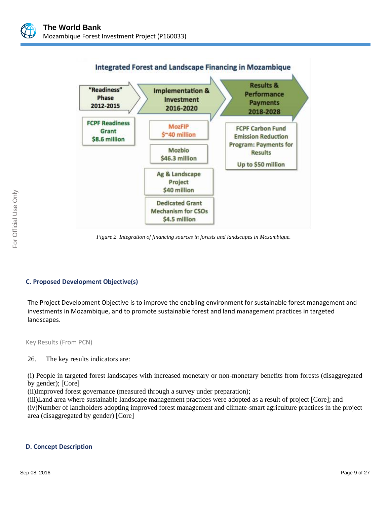



*Figure 2. Integration of financing sources in forests and landscapes in Mozambique.*

### **C. Proposed Development Objective(s)**

The Project Development Objective is to improve the enabling environment for sustainable forest management and investments in Mozambique, and to promote sustainable forest and land management practices in targeted landscapes.

Key Results (From PCN)

### 26. The key results indicators are:

(i) People in targeted forest landscapes with increased monetary or non-monetary benefits from forests (disaggregated by gender); [Core]

(ii)Improved forest governance (measured through a survey under preparation);

(iii)Land area where sustainable landscape management practices were adopted as a result of project [Core]; and (iv)Number of landholders adopting improved forest management and climate-smart agriculture practices in the project area (disaggregated by gender) [Core]

### **D. Concept Description**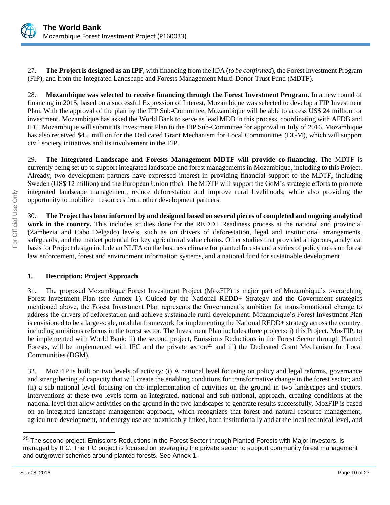

27. **The Project is designed as an IPF**, with financing from the IDA (*to be confirmed*), the Forest Investment Program (FIP), and from the Integrated Landscape and Forests Management Multi-Donor Trust Fund (MDTF).

28. **Mozambique was selected to receive financing through the Forest Investment Program.** In a new round of financing in 2015, based on a successful Expression of Interest, Mozambique was selected to develop a FIP Investment Plan. With the approval of the plan by the FIP Sub-Committee, Mozambique will be able to access US\$ 24 million for investment. Mozambique has asked the World Bank to serve as lead MDB in this process, coordinating with AFDB and IFC. Mozambique will submit its Investment Plan to the FIP Sub-Committee for approval in July of 2016. Mozambique has also received \$4.5 million for the Dedicated Grant Mechanism for Local Communities (DGM), which will support civil society initiatives and its involvement in the FIP.

29. **The Integrated Landscape and Forests Management MDTF will provide co-financing.** The MDTF is currently being set up to support integrated landscape and forest managements in Mozambique, including to this Project. Already, two development partners have expressed interest in providing financial support to the MDTF, including Sweden (US\$ 12 million) and the European Union (tbc). The MDTF will support the GoM's strategic efforts to promote integrated landscape management, reduce deforestation and improve rural livelihoods, while also providing the opportunity to mobilize resources from other development partners.

30. **The Project has been informed by and designed based on several pieces of completed and ongoing analytical work in the country.** This includes studies done for the REDD+ Readiness process at the national and provincial (Zambezia and Cabo Delgado) levels, such as on drivers of deforestation, legal and institutional arrangements, safeguards, and the market potential for key agricultural value chains. Other studies that provided a rigorous, analytical basis for Project design include an NLTA on the business climate for planted forests and a series of policy notes on forest law enforcement, forest and environment information systems, and a national fund for sustainable development.

# **1. Description: Project Approach**

31. The proposed Mozambique Forest Investment Project (MozFIP) is major part of Mozambique's overarching Forest Investment Plan (see Annex 1). Guided by the National REDD+ Strategy and the Government strategies mentioned above, the Forest Investment Plan represents the Government's ambition for transformational change to address the drivers of deforestation and achieve sustainable rural development. Mozambique's Forest Investment Plan is envisioned to be a large-scale, modular framework for implementing the National REDD+ strategy across the country, including ambitious reforms in the forest sector. The Investment Plan includes three projects: i) this Project, MozFIP, to be implemented with World Bank; ii) the second project, Emissions Reductions in the Forest Sector through Planted Forests, will be implemented with IFC and the private sector;<sup>25</sup> and iii) the Dedicated Grant Mechanism for Local Communities (DGM).

32. MozFIP is built on two levels of activity: (i) A national level focusing on policy and legal reforms, governance and strengthening of capacity that will create the enabling conditions for transformative change in the forest sector; and (ii) a sub-national level focusing on the implementation of activities on the ground in two landscapes and sectors. Interventions at these two levels form an integrated, national and sub-national, approach, creating conditions at the national level that allow activities on the ground in the two landscapes to generate results successfully. MozFIP is based on an integrated landscape management approach, which recognizes that forest and natural resource management, agriculture development, and energy use are inextricably linked, both institutionally and at the local technical level, and

<sup>&</sup>lt;sup>25</sup> The second project, Emissions Reductions in the Forest Sector through Planted Forests with Major Investors, is managed by IFC. The IFC project is focused on leveraging the private sector to support community forest management and outgrower schemes around planted forests. See Annex 1.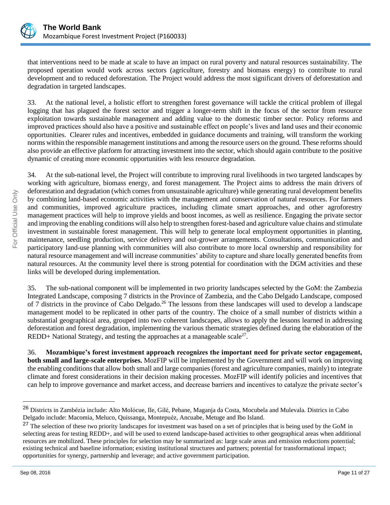

that interventions need to be made at scale to have an impact on rural poverty and natural resources sustainability. The proposed operation would work across sectors (agriculture, forestry and biomass energy) to contribute to rural development and to reduced deforestation. The Project would address the most significant drivers of deforestation and degradation in targeted landscapes.

33. At the national level, a holistic effort to strengthen forest governance will tackle the critical problem of illegal logging that has plagued the forest sector and trigger a longer-term shift in the focus of the sector from resource exploitation towards sustainable management and adding value to the domestic timber sector. Policy reforms and improved practices should also have a positive and sustainable effect on people's lives and land uses and their economic opportunities. Clearer rules and incentives, embedded in guidance documents and training, will transform the working norms within the responsible management institutions and among the resource users on the ground. These reforms should also provide an effective platform for attracting investment into the sector, which should again contribute to the positive dynamic of creating more economic opportunities with less resource degradation.

34. At the sub-national level, the Project will contribute to improving rural livelihoods in two targeted landscapes by working with agriculture, biomass energy, and forest management. The Project aims to address the main drivers of deforestation and degradation (which comes from unsustainable agriculture) while generating rural development benefits by combining land-based economic activities with the management and conservation of natural resources. For farmers and communities, improved agriculture practices, including climate smart approaches, and other agroforestry management practices will help to improve yields and boost incomes, as well as resilience. Engaging the private sector and improving the enabling conditions will also help to strengthen forest-based and agriculture value chains and stimulate investment in sustainable forest management. This will help to generate local employment opportunities in planting, maintenance, seedling production, service delivery and out-grower arrangements. Consultations, communication and participatory land-use planning with communities will also contribute to more local ownership and responsibility for natural resource management and will increase communities' ability to capture and share locally generated benefits from natural resources. At the community level there is strong potential for coordination with the DGM activities and these links will be developed during implementation.

35. The sub-national component will be implemented in two priority landscapes selected by the GoM: the Zambezia Integrated Landscape, composing 7 districts in the Province of Zambezia, and the Cabo Delgado Landscape, composed of 7 districts in the province of Cabo Delgado.<sup>26</sup> The lessons from these landscapes will used to develop a landscape management model to be replicated in other parts of the country. The choice of a small number of districts within a substantial geographical area, grouped into two coherent landscapes, allows to apply the lessons learned in addressing deforestation and forest degradation, implementing the various thematic strategies defined during the elaboration of the  $REDD+$  National Strategy, and testing the approaches at a manageable scale<sup>27</sup>.

36. **Mozambique's forest investment approach recognizes the important need for private sector engagement, both small and large-scale enterprises.** MozFIP will be implemented by the Government and will work on improving the enabling conditions that allow both small and large companies (forest and agriculture companies, mainly) to integrate climate and forest considerations in their decision making processes. MozFIP will identify policies and incentives that can help to improve governance and market access, and decrease barriers and incentives to catalyze the private sector's

<sup>26</sup> Districts in Zambézia include: Alto Molócue, Ile, Gilé, Pebane, Maganja da Costa, Mocubela and Mulevala. Districs in Cabo Delgado include: Macomia, Meluco, Quissanga, Montepuéz, Ancuabe, Metuge and Ibo Island.

<sup>&</sup>lt;sup>27</sup> The selection of these two priority landscapes for investment was based on a set of principles that is being used by the GoM in selecting areas for testing REDD+, and will be used to extend landscape-based activities to other geographical areas when additional resources are mobilized. These principles for selection may be summarized as: large scale areas and emission reductions potential; existing technical and baseline information; existing institutional structures and partners; potential for transformational impact; opportunities for synergy, partnership and leverage; and active government participation.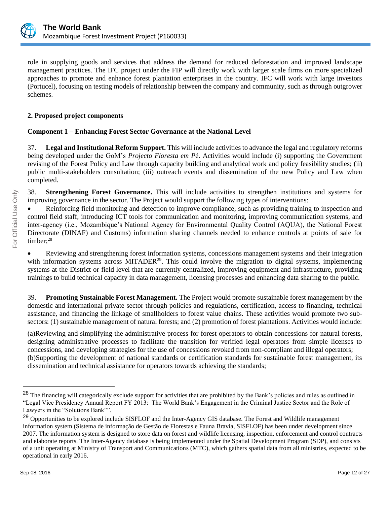

role in supplying goods and services that address the demand for reduced deforestation and improved landscape management practices. The IFC project under the FIP will directly work with larger scale firms on more specialized approaches to promote and enhance forest plantation enterprises in the country. IFC will work with large investors (Portucel), focusing on testing models of relationship between the company and community, such as through outgrower schemes.

# **2. Proposed project components**

# **Component 1 – Enhancing Forest Sector Governance at the National Level**

37. **Legal and Institutional Reform Support.** This will include activities to advance the legal and regulatory reforms being developed under the GoM's *Projecto Floresta em P*é. Activities would include (i) supporting the Government revising of the Forest Policy and Law through capacity building and analytical work and policy feasibility studies; (ii) public multi-stakeholders consultation; (iii) outreach events and dissemination of the new Policy and Law when completed.

38. **Strengthening Forest Governance.** This will include activities to strengthen institutions and systems for improving governance in the sector. The Project would support the following types of interventions:

• Reinforcing field monitoring and detection to improve compliance, such as providing training to inspection and control field staff, introducing ICT tools for communication and monitoring, improving communication systems, and inter-agency (i.e., Mozambique's National Agency for Environmental Quality Control (AQUA), the National Forest Directorate (DINAF) and Customs) information sharing channels needed to enhance controls at points of sale for timber;<sup>28</sup>

• Reviewing and strengthening forest information systems, concessions management systems and their integration with information systems across  $MITADER^{29}$ . This could involve the migration to digital systems, implementing systems at the District or field level that are currently centralized, improving equipment and infrastructure, providing trainings to build technical capacity in data management, licensing processes and enhancing data sharing to the public.

39. **Promoting Sustainable Forest Management.** The Project would promote sustainable forest management by the domestic and international private sector through policies and regulations, certification, access to financing, technical assistance, and financing the linkage of smallholders to forest value chains. These activities would promote two subsectors: (1) sustainable management of natural forests; and (2) promotion of forest plantations. Activities would include:

(a)Reviewing and simplifying the administrative process for forest operators to obtain concessions for natural forests, designing administrative processes to facilitate the transition for verified legal operators from simple licenses to concessions, and developing strategies for the use of concessions revoked from non-compliant and illegal operators; (b)Supporting the development of national standards or certification standards for sustainable forest management, its dissemination and technical assistance for operators towards achieving the standards;

<sup>&</sup>lt;sup>28</sup> The financing will categorically exclude support for activities that are prohibited by the Bank's policies and rules as outlined in "Legal Vice Presidency Annual Report FY 2013: The World Bank's Engagement in the Criminal Justice Sector and the Role of Lawyers in the "Solutions Bank"".

<sup>&</sup>lt;sup>29</sup> Opportunities to be explored include SISFLOF and the Inter-Agency GIS database. The Forest and Wildlife management information system (Sistema de informação de Gestão de Florestas e Fauna Bravia, SISFLOF) has been under development since 2007. The information system is designed to store data on forest and wildlife licensing, inspection, enforcement and control contracts and elaborate reports. The Inter-Agency database is being implemented under the Spatial Development Program (SDP), and consists of a unit operating at Ministry of Transport and Communications (MTC), which gathers spatial data from all ministries, expected to be operational in early 2016.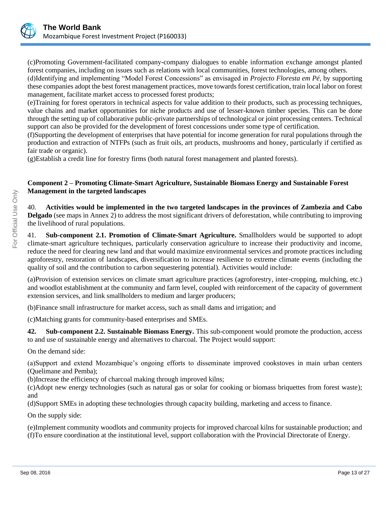

(c)Promoting Government-facilitated company-company dialogues to enable information exchange amongst planted forest companies, including on issues such as relations with local communities, forest technologies, among others.

(d)Identifying and implementing "Model Forest Concessions" as envisaged in *Projecto Floresta em Pé*, by supporting these companies adopt the best forest management practices, move towards forest certification, train local labor on forest management, facilitate market access to processed forest products;

(e)Training for forest operators in technical aspects for value addition to their products, such as processing techniques, value chains and market opportunities for niche products and use of lesser-known timber species. This can be done through the setting up of collaborative public-private partnerships of technological or joint processing centers. Technical support can also be provided for the development of forest concessions under some type of certification.

(f)Supporting the development of enterprises that have potential for income generation for rural populations through the production and extraction of NTFPs (such as fruit oils, art products, mushrooms and honey, particularly if certified as fair trade or organic).

(g)Establish a credit line for forestry firms (both natural forest management and planted forests).

# **Component 2 – Promoting Climate-Smart Agriculture, Sustainable Biomass Energy and Sustainable Forest Management in the targeted landscapes**

40. **Activities would be implemented in the two targeted landscapes in the provinces of Zambezia and Cabo Delgado** (see maps in Annex 2) to address the most significant drivers of deforestation, while contributing to improving the livelihood of rural populations.

41. **Sub-component 2.1. Promotion of Climate-Smart Agriculture.** Smallholders would be supported to adopt climate-smart agriculture techniques, particularly conservation agriculture to increase their productivity and income, reduce the need for clearing new land and that would maximize environmental services and promote practices including agroforestry, restoration of landscapes, diversification to increase resilience to extreme climate events (including the quality of soil and the contribution to carbon sequestering potential). Activities would include:

(a)Provision of extension services on climate smart agriculture practices (agroforestry, inter-cropping, mulching, etc.) and woodlot establishment at the community and farm level, coupled with reinforcement of the capacity of government extension services, and link smallholders to medium and larger producers;

(b)Finance small infrastructure for market access, such as small dams and irrigation; and

(c)Matching grants for community-based enterprises and SMEs.

**42. Sub-component 2.2. Sustainable Biomass Energy.** This sub-component would promote the production, access to and use of sustainable energy and alternatives to charcoal. The Project would support:

On the demand side:

(a)Support and extend Mozambique's ongoing efforts to disseminate improved cookstoves in main urban centers (Quelimane and Pemba);

(b)Increase the efficiency of charcoal making through improved kilns;

(c)Adopt new energy technologies (such as natural gas or solar for cooking or biomass briquettes from forest waste); and

(d)Support SMEs in adopting these technologies through capacity building, marketing and access to finance.

On the supply side:

(e)Implement community woodlots and community projects for improved charcoal kilns for sustainable production; and (f)To ensure coordination at the institutional level, support collaboration with the Provincial Directorate of Energy.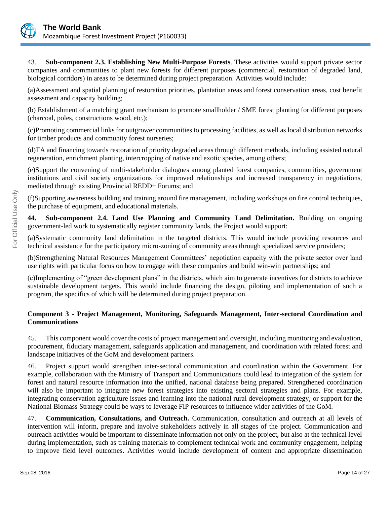

43. **Sub-component 2.3. Establishing New Multi-Purpose Forests**. These activities would support private sector companies and communities to plant new forests for different purposes (commercial, restoration of degraded land, biological corridors) in areas to be determined during project preparation. Activities would include:

(a)Assessment and spatial planning of restoration priorities, plantation areas and forest conservation areas, cost benefit assessment and capacity building;

(b) Establishment of a matching grant mechanism to promote smallholder / SME forest planting for different purposes (charcoal, poles, constructions wood, etc.);

(c)Promoting commercial links for outgrower communities to processing facilities, as well as local distribution networks for timber products and community forest nurseries;

(d)TA and financing towards restoration of priority degraded areas through different methods, including assisted natural regeneration, enrichment planting, intercropping of native and exotic species, among others;

(e)Support the convening of multi-stakeholder dialogues among planted forest companies, communities, government institutions and civil society organizations for improved relationships and increased transparency in negotiations, mediated through existing Provincial REDD+ Forums; and

(f)Supporting awareness building and training around fire management, including workshops on fire control techniques, the purchase of equipment, and educational materials.

**44. Sub-component 2.4. Land Use Planning and Community Land Delimitation.** Building on ongoing government-led work to systematically register community lands, the Project would support:

(a)Systematic community land delimitation in the targeted districts. This would include providing resources and technical assistance for the participatory micro-zoning of community areas through specialized service providers;

(b)Strengthening Natural Resources Management Committees' negotiation capacity with the private sector over land use rights with particular focus on how to engage with these companies and build win-win partnerships; and

(c)Implementing of "green development plans" in the districts, which aim to generate incentives for districts to achieve sustainable development targets. This would include financing the design, piloting and implementation of such a program, the specifics of which will be determined during project preparation.

# **Component 3 - Project Management, Monitoring, Safeguards Management, Inter-sectoral Coordination and Communications**

45. Th**i**s component would cover the costs of project management and oversight, including monitoring and evaluation, procurement, fiduciary management, safeguards application and management, and coordination with related forest and landscape initiatives of the GoM and development partners.

46. Project support would strengthen inter-sectoral communication and coordination within the Government. For example, collaboration with the Ministry of Transport and Communications could lead to integration of the system for forest and natural resource information into the unified, national database being prepared. Strengthened coordination will also be important to integrate new forest strategies into existing sectoral strategies and plans. For example, integrating conservation agriculture issues and learning into the national rural development strategy, or support for the National Biomass Strategy could be ways to leverage FIP resources to influence wider activities of the GoM.

47. **Communication, Consultations, and Outreach.** Communication, consultation and outreach at all levels of intervention will inform, prepare and involve stakeholders actively in all stages of the project. Communication and outreach activities would be important to disseminate information not only on the project, but also at the technical level during implementation, such as training materials to complement technical work and community engagement, helping to improve field level outcomes. Activities would include development of content and appropriate dissemination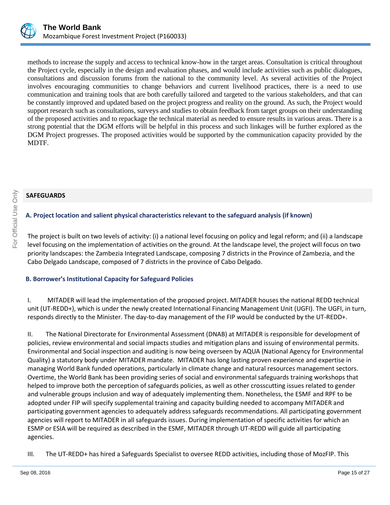

methods to increase the supply and access to technical know-how in the target areas. Consultation is critical throughout the Project cycle, especially in the design and evaluation phases, and would include activities such as public dialogues, consultations and discussion forums from the national to the community level. As several activities of the Project involves encouraging communities to change behaviors and current livelihood practices, there is a need to use communication and training tools that are both carefully tailored and targeted to the various stakeholders, and that can be constantly improved and updated based on the project progress and reality on the ground. As such, the Project would support research such as consultations, surveys and studies to obtain feedback from target groups on their understanding of the proposed activities and to repackage the technical material as needed to ensure results in various areas. There is a strong potential that the DGM efforts will be helpful in this process and such linkages will be further explored as the DGM Project progresses. The proposed activities would be supported by the communication capacity provided by the MDTF.

# **SAFEGUARDS**

# **A. Project location and salient physical characteristics relevant to the safeguard analysis (if known)**

The project is built on two levels of activity: (i) a national level focusing on policy and legal reform; and (ii) a landscape level focusing on the implementation of activities on the ground. At the landscape level, the project will focus on two priority landscapes: the Zambezia Integrated Landscape, composing 7 districts in the Province of Zambezia, and the Cabo Delgado Landscape, composed of 7 districts in the province of Cabo Delgado.

# **B. Borrower's Institutional Capacity for Safeguard Policies**

I. MITADER will lead the implementation of the proposed project. MITADER houses the national REDD technical unit (UT-REDD+), which is under the newly created International Financing Management Unit (UGFI). The UGFI, in turn, responds directly to the Minister. The day-to-day management of the FIP would be conducted by the UT-REDD+.

II. The National Directorate for Environmental Assessment (DNAB) at MITADER is responsible for development of policies, review environmental and social impacts studies and mitigation plans and issuing of environmental permits. Environmental and Social inspection and auditing is now being overseen by AQUA (National Agency for Environmental Quality) a statutory body under MITADER mandate. MITADER has long lasting proven experience and expertise in managing World Bank funded operations, particularly in climate change and natural resources management sectors. Overtime, the World Bank has been providing series of social and environmental safeguards training workshops that helped to improve both the perception of safeguards policies, as well as other crosscutting issues related to gender and vulnerable groups inclusion and way of adequately implementing them. Nonetheless, the ESMF and RPF to be adopted under FIP will specify supplemental training and capacity building needed to accompany MITADER and participating government agencies to adequately address safeguards recommendations. All participating government agencies will report to MITADER in all safeguards issues. During implementation of specific activities for which an ESMP or ESIA will be required as described in the ESMF, MITADER through UT-REDD will guide all participating agencies.

III. The UT-REDD+ has hired a Safeguards Specialist to oversee REDD activities, including those of MozFIP. This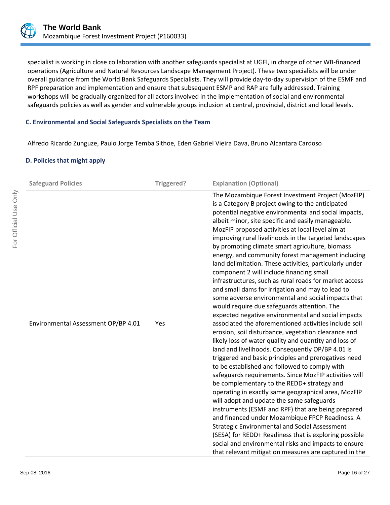

specialist is working in close collaboration with another safeguards specialist at UGFI, in charge of other WB-financed operations (Agriculture and Natural Resources Landscape Management Project). These two specialists will be under overall guidance from the World Bank Safeguards Specialists. They will provide day-to-day supervision of the ESMF and RPF preparation and implementation and ensure that subsequent ESMP and RAP are fully addressed. Training workshops will be gradually organized for all actors involved in the implementation of social and environmental safeguards policies as well as gender and vulnerable groups inclusion at central, provincial, district and local levels.

# **C. Environmental and Social Safeguards Specialists on the Team**

Alfredo Ricardo Zunguze, Paulo Jorge Temba Sithoe, Eden Gabriel Vieira Dava, Bruno Alcantara Cardoso

#### **D. Policies that might apply**

| <b>Safeguard Policies</b>           | Triggered? | <b>Explanation (Optional)</b>                                                                                                                                                                                                                                                                                                                                                                                                                                                                                                                                                                                                                                                                                                                                                                                                                                                                                                                                                                                                                                                                                                                                                                                                                                                                                                                                                                                                                                                                                                                                                                                                                                                                                         |
|-------------------------------------|------------|-----------------------------------------------------------------------------------------------------------------------------------------------------------------------------------------------------------------------------------------------------------------------------------------------------------------------------------------------------------------------------------------------------------------------------------------------------------------------------------------------------------------------------------------------------------------------------------------------------------------------------------------------------------------------------------------------------------------------------------------------------------------------------------------------------------------------------------------------------------------------------------------------------------------------------------------------------------------------------------------------------------------------------------------------------------------------------------------------------------------------------------------------------------------------------------------------------------------------------------------------------------------------------------------------------------------------------------------------------------------------------------------------------------------------------------------------------------------------------------------------------------------------------------------------------------------------------------------------------------------------------------------------------------------------------------------------------------------------|
| Environmental Assessment OP/BP 4.01 | Yes        | The Mozambique Forest Investment Project (MozFIP)<br>is a Category B project owing to the anticipated<br>potential negative environmental and social impacts,<br>albeit minor, site specific and easily manageable.<br>MozFIP proposed activities at local level aim at<br>improving rural livelihoods in the targeted landscapes<br>by promoting climate smart agriculture, biomass<br>energy, and community forest management including<br>land delimitation. These activities, particularly under<br>component 2 will include financing small<br>infrastructures, such as rural roads for market access<br>and small dams for irrigation and may to lead to<br>some adverse environmental and social impacts that<br>would require due safeguards attention. The<br>expected negative environmental and social impacts<br>associated the aforementioned activities include soil<br>erosion, soil disturbance, vegetation clearance and<br>likely loss of water quality and quantity and loss of<br>land and livelihoods. Consequently OP/BP 4.01 is<br>triggered and basic principles and prerogatives need<br>to be established and followed to comply with<br>safeguards requirements. Since MozFIP activities will<br>be complementary to the REDD+ strategy and<br>operating in exactly same geographical area, MozFIP<br>will adopt and update the same safeguards<br>instruments (ESMF and RPF) that are being prepared<br>and financed under Mozambique FPCP Readiness. A<br><b>Strategic Environmental and Social Assessment</b><br>(SESA) for REDD+ Readiness that is exploring possible<br>social and environmental risks and impacts to ensure<br>that relevant mitigation measures are captured in the |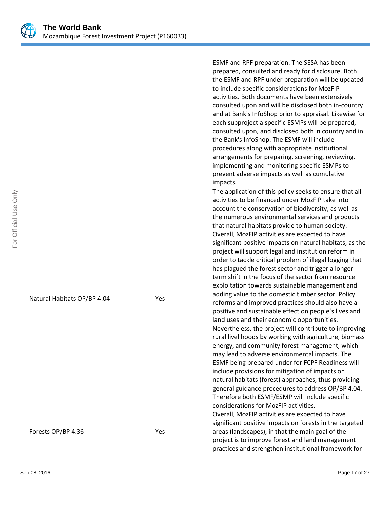

|                             |     | ESMF and RPF preparation. The SESA has been<br>prepared, consulted and ready for disclosure. Both<br>the ESMF and RPF under preparation will be updated<br>to include specific considerations for MozFIP<br>activities. Both documents have been extensively<br>consulted upon and will be disclosed both in-country<br>and at Bank's InfoShop prior to appraisal. Likewise for<br>each subproject a specific ESMPs will be prepared,<br>consulted upon, and disclosed both in country and in<br>the Bank's InfoShop. The ESMF will include<br>procedures along with appropriate institutional<br>arrangements for preparing, screening, reviewing,<br>implementing and monitoring specific ESMPs to<br>prevent adverse impacts as well as cumulative<br>impacts.                                                                                                                                                                                                                                                                                                                                                                                                                                                                                                                                                                                                                                                                          |
|-----------------------------|-----|--------------------------------------------------------------------------------------------------------------------------------------------------------------------------------------------------------------------------------------------------------------------------------------------------------------------------------------------------------------------------------------------------------------------------------------------------------------------------------------------------------------------------------------------------------------------------------------------------------------------------------------------------------------------------------------------------------------------------------------------------------------------------------------------------------------------------------------------------------------------------------------------------------------------------------------------------------------------------------------------------------------------------------------------------------------------------------------------------------------------------------------------------------------------------------------------------------------------------------------------------------------------------------------------------------------------------------------------------------------------------------------------------------------------------------------------|
| Natural Habitats OP/BP 4.04 | Yes | The application of this policy seeks to ensure that all<br>activities to be financed under MozFIP take into<br>account the conservation of biodiversity, as well as<br>the numerous environmental services and products<br>that natural habitats provide to human society.<br>Overall, MozFIP activities are expected to have<br>significant positive impacts on natural habitats, as the<br>project will support legal and institution reform in<br>order to tackle critical problem of illegal logging that<br>has plagued the forest sector and trigger a longer-<br>term shift in the focus of the sector from resource<br>exploitation towards sustainable management and<br>adding value to the domestic timber sector. Policy<br>reforms and improved practices should also have a<br>positive and sustainable effect on people's lives and<br>land uses and their economic opportunities.<br>Nevertheless, the project will contribute to improving<br>rural livelihoods by working with agriculture, biomass<br>energy, and community forest management, which<br>may lead to adverse environmental impacts. The<br>ESMF being prepared under for FCPF Readiness will<br>include provisions for mitigation of impacts on<br>natural habitats (forest) approaches, thus providing<br>general guidance procedures to address OP/BP 4.04.<br>Therefore both ESMF/ESMP will include specific<br>considerations for MozFIP activities. |
| Forests OP/BP 4.36          | Yes | Overall, MozFIP activities are expected to have<br>significant positive impacts on forests in the targeted<br>areas (landscapes), in that the main goal of the<br>project is to improve forest and land management<br>practices and strengthen institutional framework for                                                                                                                                                                                                                                                                                                                                                                                                                                                                                                                                                                                                                                                                                                                                                                                                                                                                                                                                                                                                                                                                                                                                                                 |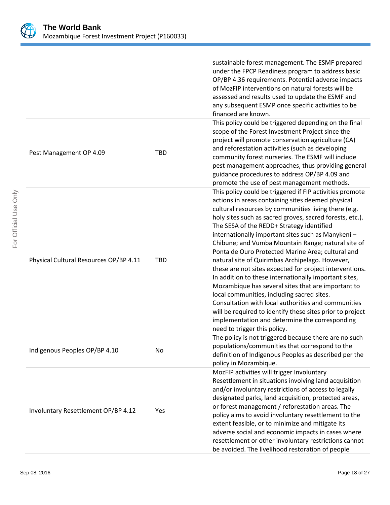

|                                        |            | sustainable forest management. The ESMF prepared<br>under the FPCP Readiness program to address basic<br>OP/BP 4.36 requirements. Potential adverse impacts<br>of MozFIP interventions on natural forests will be<br>assessed and results used to update the ESMF and<br>any subsequent ESMP once specific activities to be<br>financed are known.                                                                                                                                                                                                                                                                                                                                                                                                                                                                                                                                                                              |
|----------------------------------------|------------|---------------------------------------------------------------------------------------------------------------------------------------------------------------------------------------------------------------------------------------------------------------------------------------------------------------------------------------------------------------------------------------------------------------------------------------------------------------------------------------------------------------------------------------------------------------------------------------------------------------------------------------------------------------------------------------------------------------------------------------------------------------------------------------------------------------------------------------------------------------------------------------------------------------------------------|
| Pest Management OP 4.09                | <b>TBD</b> | This policy could be triggered depending on the final<br>scope of the Forest Investment Project since the<br>project will promote conservation agriculture (CA)<br>and reforestation activities (such as developing<br>community forest nurseries. The ESMF will include<br>pest management approaches, thus providing general<br>guidance procedures to address OP/BP 4.09 and<br>promote the use of pest management methods.                                                                                                                                                                                                                                                                                                                                                                                                                                                                                                  |
| Physical Cultural Resources OP/BP 4.11 | TBD        | This policy could be triggered if FIP activities promote<br>actions in areas containing sites deemed physical<br>cultural resources by communities living there (e.g.<br>holy sites such as sacred groves, sacred forests, etc.).<br>The SESA of the REDD+ Strategy identified<br>internationally important sites such as Manykeni-<br>Chibune; and Vumba Mountain Range; natural site of<br>Ponta de Ouro Protected Marine Area; cultural and<br>natural site of Quirimbas Archipelago. However,<br>these are not sites expected for project interventions.<br>In addition to these internationally important sites,<br>Mozambique has several sites that are important to<br>local communities, including sacred sites.<br>Consultation with local authorities and communities<br>will be required to identify these sites prior to project<br>implementation and determine the corresponding<br>need to trigger this policy. |
| Indigenous Peoples OP/BP 4.10          | No         | The policy is not triggered because there are no such<br>populations/communities that correspond to the<br>definition of Indigenous Peoples as described per the<br>policy in Mozambique.                                                                                                                                                                                                                                                                                                                                                                                                                                                                                                                                                                                                                                                                                                                                       |
| Involuntary Resettlement OP/BP 4.12    | Yes        | MozFIP activities will trigger Involuntary<br>Resettlement in situations involving land acquisition<br>and/or involuntary restrictions of access to legally<br>designated parks, land acquisition, protected areas,<br>or forest management / reforestation areas. The<br>policy aims to avoid involuntary resettlement to the<br>extent feasible, or to minimize and mitigate its<br>adverse social and economic impacts in cases where<br>resettlement or other involuntary restrictions cannot<br>be avoided. The livelihood restoration of people                                                                                                                                                                                                                                                                                                                                                                           |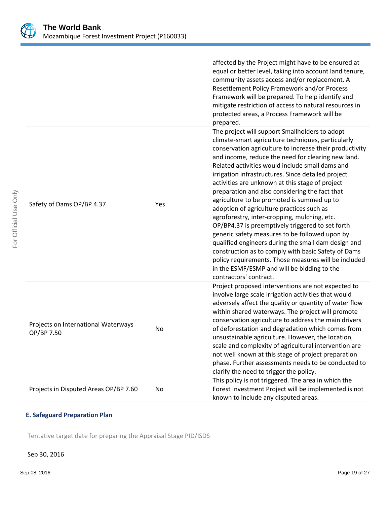

|                                                   |     | affected by the Project might have to be ensured at<br>equal or better level, taking into account land tenure,<br>community assets access and/or replacement. A<br>Resettlement Policy Framework and/or Process<br>Framework will be prepared. To help identify and<br>mitigate restriction of access to natural resources in<br>protected areas, a Process Framework will be<br>prepared.                                                                                                                                                                                                                                                                                                                                                                                                                                                                                                                                          |
|---------------------------------------------------|-----|-------------------------------------------------------------------------------------------------------------------------------------------------------------------------------------------------------------------------------------------------------------------------------------------------------------------------------------------------------------------------------------------------------------------------------------------------------------------------------------------------------------------------------------------------------------------------------------------------------------------------------------------------------------------------------------------------------------------------------------------------------------------------------------------------------------------------------------------------------------------------------------------------------------------------------------|
| Safety of Dams OP/BP 4.37                         | Yes | The project will support Smallholders to adopt<br>climate-smart agriculture techniques, particularly<br>conservation agriculture to increase their productivity<br>and income, reduce the need for clearing new land.<br>Related activities would include small dams and<br>irrigation infrastructures. Since detailed project<br>activities are unknown at this stage of project<br>preparation and also considering the fact that<br>agriculture to be promoted is summed up to<br>adoption of agriculture practices such as<br>agroforestry, inter-cropping, mulching, etc.<br>OP/BP4.37 is preemptively triggered to set forth<br>generic safety measures to be followed upon by<br>qualified engineers during the small dam design and<br>construction as to comply with basic Safety of Dams<br>policy requirements. Those measures will be included<br>in the ESMF/ESMP and will be bidding to the<br>contractors' contract. |
| Projects on International Waterways<br>OP/BP 7.50 | No  | Project proposed interventions are not expected to<br>involve large scale irrigation activities that would<br>adversely affect the quality or quantity of water flow<br>within shared waterways. The project will promote<br>conservation agriculture to address the main drivers<br>of deforestation and degradation which comes from<br>unsustainable agriculture. However, the location,<br>scale and complexity of agricultural intervention are<br>not well known at this stage of project preparation<br>phase. Further assessments needs to be conducted to<br>clarify the need to trigger the policy.                                                                                                                                                                                                                                                                                                                       |
| Projects in Disputed Areas OP/BP 7.60             | No  | This policy is not triggered. The area in which the<br>Forest Investment Project will be implemented is not<br>known to include any disputed areas.                                                                                                                                                                                                                                                                                                                                                                                                                                                                                                                                                                                                                                                                                                                                                                                 |

# **E. Safeguard Preparation Plan**

Tentative target date for preparing the Appraisal Stage PID/ISDS

### Sep 30, 2016

For Official Use Only

For Official Use Only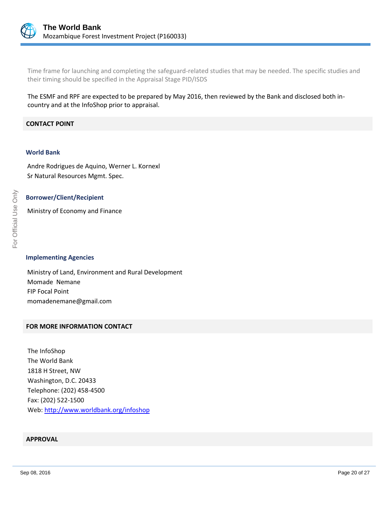

Time frame for launching and completing the safeguard-related studies that may be needed. The specific studies and their timing should be specified in the Appraisal Stage PID/ISDS

The ESMF and RPF are expected to be prepared by May 2016, then reviewed by the Bank and disclosed both incountry and at the InfoShop prior to appraisal.

#### **CONTACT POINT**

#### **World Bank**

Andre Rodrigues de Aquino, Werner L. Kornexl Sr Natural Resources Mgmt. Spec.

#### **Borrower/Client/Recipient**

Ministry of Economy and Finance

**Implementing Agencies**

Ministry of Land, Environment and Rural Development Momade Nemane FIP Focal Point momadenemane@gmail.com

#### **FOR MORE INFORMATION CONTACT**

The InfoShop The World Bank 1818 H Street, NW Washington, D.C. 20433 Telephone: (202) 458-4500 Fax: (202) 522-1500 Web[: http://www.worldbank.org/infoshop](http://www.worldbank.org/infoshop)

#### **APPROVAL**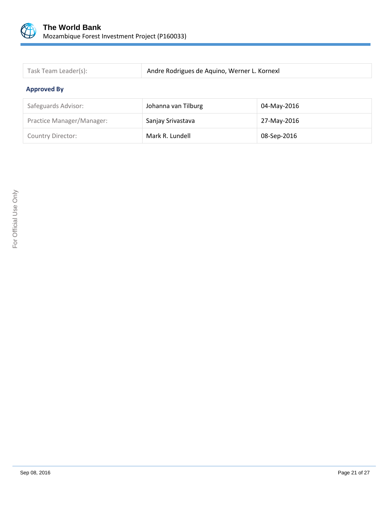

| Task Team Leader(s): | Andre Rodrigues de Aquino, Werner L. Kornexl |
|----------------------|----------------------------------------------|

# **Approved By**

| Safeguards Advisor:       | Johanna van Tilburg | 04-May-2016 |
|---------------------------|---------------------|-------------|
| Practice Manager/Manager: | Sanjay Srivastava   | 27-May-2016 |
| <b>Country Director:</b>  | Mark R. Lundell     | 08-Sep-2016 |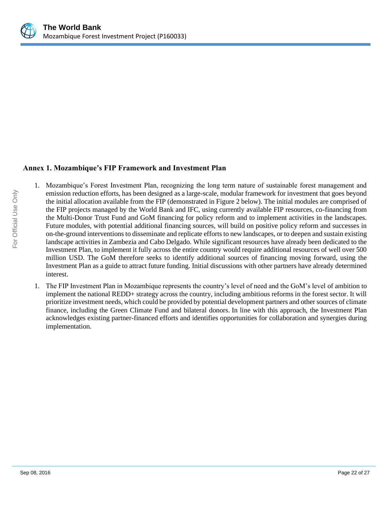

# **Annex 1. Mozambique's FIP Framework and Investment Plan**

- 1. Mozambique's Forest Investment Plan, recognizing the long term nature of sustainable forest management and emission reduction efforts, has been designed as a large-scale, modular framework for investment that goes beyond the initial allocation available from the FIP (demonstrated in Figure 2 below). The initial modules are comprised of the FIP projects managed by the World Bank and IFC, using currently available FIP resources, co-financing from the Multi-Donor Trust Fund and GoM financing for policy reform and to implement activities in the landscapes. Future modules, with potential additional financing sources, will build on positive policy reform and successes in on-the-ground interventions to disseminate and replicate efforts to new landscapes, or to deepen and sustain existing landscape activities in Zambezia and Cabo Delgado. While significant resources have already been dedicated to the Investment Plan, to implement it fully across the entire country would require additional resources of well over 500 million USD. The GoM therefore seeks to identify additional sources of financing moving forward, using the Investment Plan as a guide to attract future funding. Initial discussions with other partners have already determined interest.
- 1. The FIP Investment Plan in Mozambique represents the country's level of need and the GoM's level of ambition to implement the national REDD+ strategy across the country, including ambitious reforms in the forest sector. It will prioritize investment needs, which could be provided by potential development partners and other sources of climate finance, including the Green Climate Fund and bilateral donors. In line with this approach, the Investment Plan acknowledges existing partner-financed efforts and identifies opportunities for collaboration and synergies during implementation.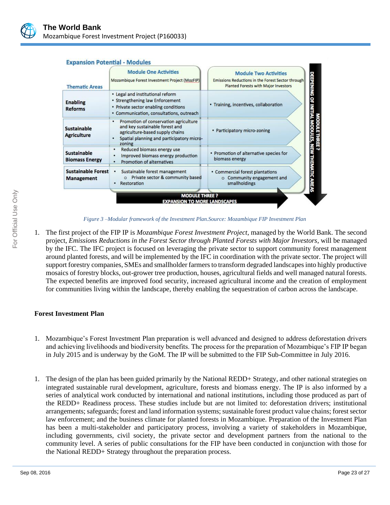

#### **Expansion Potential - Modules**



*Figure 3 –Modular framework of the Investment Plan.Source: Mozambique FIP Investment Plan*

1. The first project of the FIP IP is *Mozambique Forest Investment Project*, managed by the World Bank. The second project, *Emissions Reductions in the Forest Sector through Planted Forests with Major Investors*, will be managed by the IFC. The IFC project is focused on leveraging the private sector to support community forest management around planted forests, and will be implemented by the IFC in coordination with the private sector. The project will support forestry companies, SMEs and smallholder farmers to transform degraded landscapes into highly productive mosaics of forestry blocks, out-grower tree production, houses, agricultural fields and well managed natural forests. The expected benefits are improved food security, increased agricultural income and the creation of employment for communities living within the landscape, thereby enabling the sequestration of carbon across the landscape.

# **Forest Investment Plan**

- 1. Mozambique's Forest Investment Plan preparation is well advanced and designed to address deforestation drivers and achieving livelihoods and biodiversity benefits. The process for the preparation of Mozambique's FIP IP began in July 2015 and is underway by the GoM. The IP will be submitted to the FIP Sub-Committee in July 2016.
- 1. The design of the plan has been guided primarily by the National REDD+ Strategy, and other national strategies on integrated sustainable rural development, agriculture, forests and biomass energy. The IP is also informed by a series of analytical work conducted by international and national institutions, including those produced as part of the REDD+ Readiness process. These studies include but are not limited to: deforestation drivers; institutional arrangements; safeguards; forest and land information systems; sustainable forest product value chains; forest sector law enforcement; and the business climate for planted forests in Mozambique. Preparation of the Investment Plan has been a multi-stakeholder and participatory process, involving a variety of stakeholders in Mozambique, including governments, civil society, the private sector and development partners from the national to the community level. A series of public consultations for the FIP have been conducted in conjunction with those for the National REDD+ Strategy throughout the preparation process.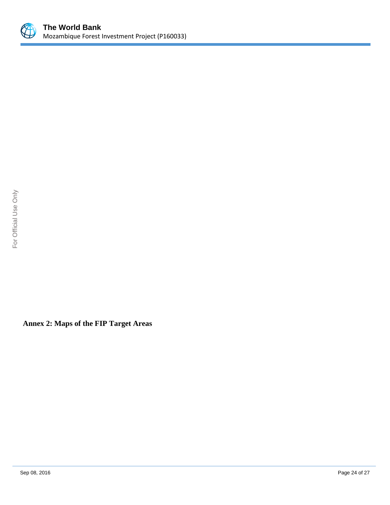

**Annex 2: Maps of the FIP Target Areas**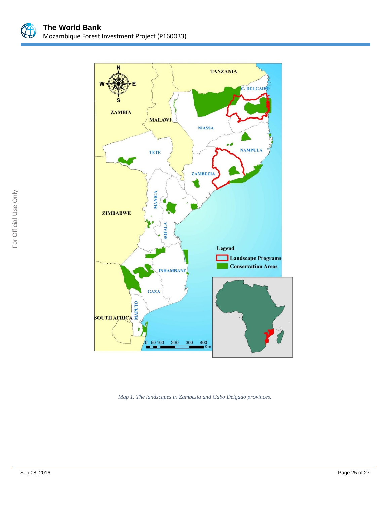



*Map 1. The landscapes in Zambezia and Cabo Delgado provinces.*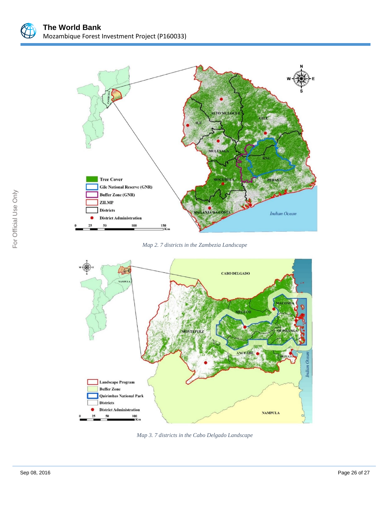

*Map 2. 7 districts in the Zambezia Landscape*



*Map 3. 7 districts in the Cabo Delgado Landscape*